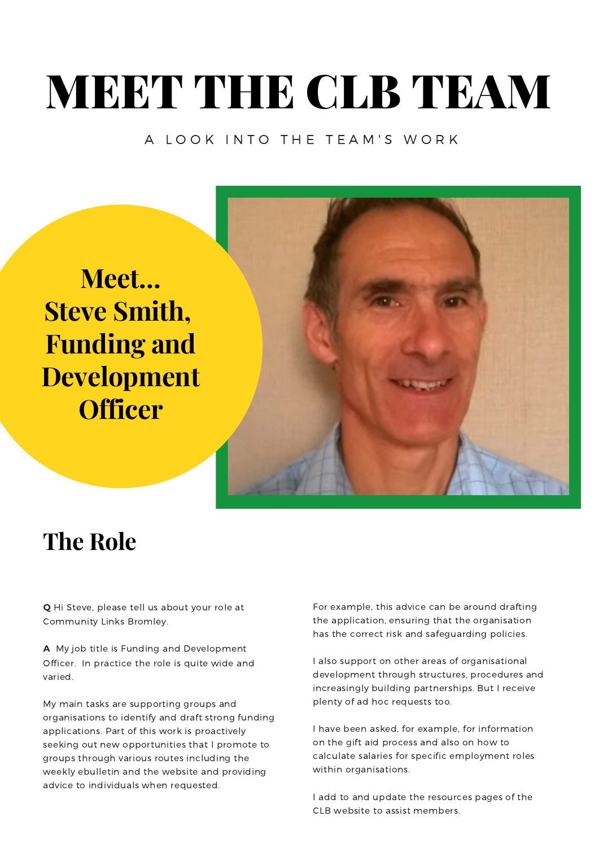# MEET THE CLB TEAM

#### A LOOK INTO THE TEAM'S WORK

**Meet… Steve Smith, Funding and Development Officer**



#### **The Role**

**Q** Hi Steve, please tell us about your role at Community Links Bromley.

**A** My job title is Funding and Development Officer. In practice the role is quite wide and varied.

My main tasks are supporting groups and organisations to identify and draft strong funding applications. Part of this work is proactively seeking out new opportunities that I promote to groups through various routes including the weekly ebulletin and the website and providing advice to individuals when requested.

For example, this advice can be around drafting the application, ensuring that the organisation has the correct risk and safeguarding policies.

I also support on other areas of organisational development through structures, procedures and increasingly building partnerships. But I receive plenty of ad hoc requests too.

I have been asked, for example, for information on the gift aid process and also on how to calculate salaries for specific employment roles within organisations.

I add to and update the resources pages of the CLB website to assist members.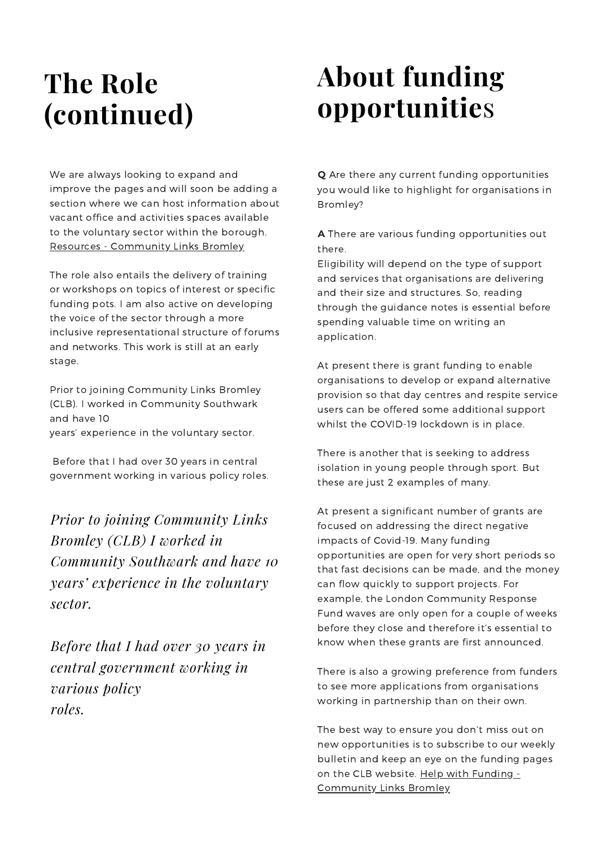## **The Role (continued)**

We are always looking to expand and improve the pages and will soon be adding a section where we can host information about vacant office and activities spaces available to the voluntary sector within the borough. Resources - [Community](https://www.communitylinksbromley.org.uk/test-page/resources/) Links Bromley

The role also entails the delivery of training or workshops on topics of interest or specific funding pots. I am also active on developing the voice of the sector through a more inclusive representational structure of forums and networks. This work is still at an early stage.

Prior to joining Community Links Bromley (CLB). I worked in Community Southwark and have 10 years' experience in the voluntary sector.

Before that I had over 30 years in central government working in various policy roles.

*Prior to joining Community Links Bromley (CLB) I worked in Community Southwark and have 10 years' experience in the voluntary sector.*

*Before that I had over 30 years in central government working in various policy roles.*

# **About funding opportunitie**s

**Q** Are there any current funding opportunities you would like to highlight for organisations in Bromley?

**A** There are various funding opportunities out there.

Eligibility will depend on the type of support and services that organisations are delivering and their size and structures. So, reading through the guidance notes is essential before spending valuable time on writing an application.

At present there is grant funding to enable organisations to develop or expand alternative provision so that day centres and respite service users can be offered some additional support whilst the COVID-19 lockdown is in place.

There is another that is seeking to address isolation in young people through sport. But these are just 2 examples of many.

At present a significant number of grants are focused on addressing the direct negative impacts of Covid-19. Many funding opportunities are open for very short periods so that fast decisions can be made, and the money can flow quickly to support projects. For example, the London Community Response Fund waves are only open for a couple of weeks before they close and therefore it's essential to know when these grants are first announced.

There is also a growing preference from funders to see more applications from organisations working in partnership than on their own.

The best way to ensure you don't miss out on new opportunities is to subscribe to our weekly bulletin and keep an eye on the funding pages on the CLB website. Help with Funding -[Community](https://www.communitylinksbromley.org.uk/test-page/test-subpage/) Links Bromley